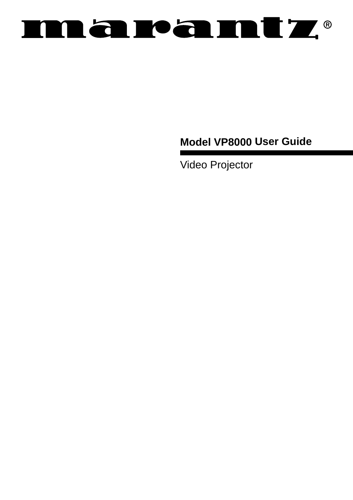## **RAPAMIZ® TY**

**Model VP8000 User Guide**

Video Projector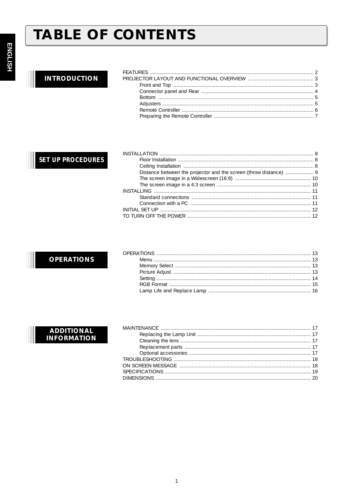# **TABLE OF CONTENTS**

## **INTRODUCTION**

## **SET UP PROCEDURES**

### **OPERATIONS**

### **ADDITIONAL INFORMATION**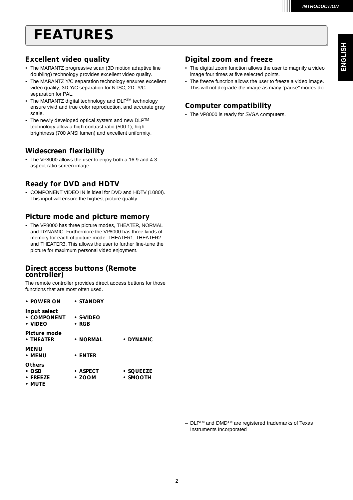## *FEATURES*

### *Excellent video quality*

- The MARANTZ progressive scan (3D motion adaptive line doubling) technology provides excellent video quality.
- The MARANTZ Y/C separation technology ensures excellent video quality, 3D-Y/C separation for NTSC, 2D- Y/C separation for PAL.
- The MARANTZ digital technology and DLPTM technology ensure vivid and true color reproduction, and accurate gray scale.
- The newly developed optical system and new DLPTM technology allow a high contrast ratio (500:1), high brightness (700 ANSI lumen) and excellent uniformity.

### *Widescreen flexibility*

• The VP8000 allows the user to enjoy both a 16:9 and 4:3 aspect ratio screen image.

### *Ready for DVD and HDTV*

• COMPONENT VIDEO IN is ideal for DVD and HDTV (1080I). This input will ensure the highest picture quality.

### *Picture mode and picture memory*

• The VP8000 has three picture modes, THEATER, NORMAL and DYNAMIC. Furthermore the VP8000 has three kinds of memory for each of picture mode: THEATER1, THEATER2 and THEATER3. This allows the user to further fine-tune the picture for maximum personal video enjoyment.

### *Direct access buttons (Remote controller)*

The remote controller provides direct access buttons for those functions that are most often used.

| $\bullet$ POWER ON                           | $\bullet$ STANDBY                |                             |
|----------------------------------------------|----------------------------------|-----------------------------|
| Input select<br>• COMPONENT<br>$\cdot$ VIDEO | $\cdot$ s-video<br>$\bullet$ RGB |                             |
| Picture mode<br>$\cdot$ THEATER              | • NORMAL                         | • DYNAMIC                   |
| MENU<br>• MENU                               | $\cdot$ ENTER                    |                             |
| <b>Others</b><br>• OSD<br>$\cdot$ FRFF7F     | $\bullet$ ASPECT<br>$\cdot$ ZOOM | $\cdot$ squeeze<br>• SMOOTH |

*• MUTE*

### *Digital zoom and freeze*

- The digital zoom function allows the user to magnify a video image four times at five selected points.
- The freeze function allows the user to freeze a video image. This will not degrade the image as many "pause" modes do.

### *Computer compatibility*

• The VP8000 is ready for SVGA computers.

– DLPTM and DMDTM are registered trademarks of Texas Instruments Incorporated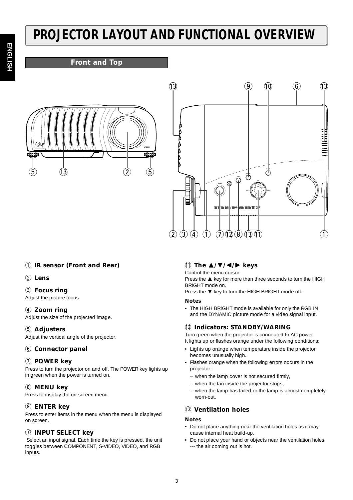# **ENGLISI ENGLISH**

# *PROJECTOR LAYOUT AND FUNCTIONAL OVERVIEW*

### *Front and Top*





### q *IR sensor (Front and Rear)*

### w *Lens*

### e *Focus ring*

Adjust the picture focus.

### **(4)** Zoom ring

Adjust the size of the projected image.

### **(5)** Adjusters

Adjust the vertical angle of the projector.

### $6$  Connector panel

### u *POWER key*

Press to turn the projector on and off. The POWER key lights up in green when the power is turned on.

### i *MENU key*

Press to display the on-screen menu.

### o *ENTER key*

Press to enter items in the menu when the menu is displayed on screen.

### !0*INPUT SELECT key*

Select an input signal. Each time the key is pressed, the unit toggles between COMPONENT, S-VIDEO, VIDEO, and RGB inputs.

### !1 *The* -*/// keys*

Control the menu cursor.

Press the  $\triangle$  key for more than three seconds to turn the HIGH BRIGHT mode on.

Press the  $\nabla$  key to turn the HIGH BRIGHT mode off.

### *Notes*

• The HIGH BRIGHT mode is available for only the RGB IN and the DYNAMIC picture mode for a video signal input.

### !2*Indicators: STANDBY/WARING*

Turn green when the projector is connected to AC power. It lights up or flashes orange under the following conditions:

- Lights up orange when temperature inside the projector becomes unusually high.
- Flashes orange when the following errors occurs in the projector:
	- when the lamp cover is not secured firmly,
- when the fan inside the projector stops,
- when the lamp has failed or the lamp is almost completely worn-out.

### !3*Ventilation holes*

### *Notes*

- Do not place anything near the ventilation holes as it may cause internal heat build-up.
- Do not place your hand or objects near the ventilation holes --- the air coming out is hot.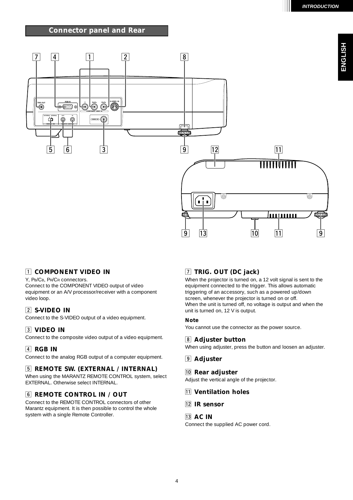### *Connector panel and Rear*



### **TI COMPONENT VIDEO IN**

Y, PB/CB, PR/CR connectors. Connect to the COMPONENT VIDEO output of video equipment or an A/V processor/receiver with a component video loop.

### x *S-VIDEO IN*

Connect to the S-VIDEO output of a video equipment.

### **3** VIDEO IN

Connect to the composite video output of a video equipment.

### *A* RGB IN

Connect to the analog RGB output of a computer equipment.

### **5 REMOTE SW. (EXTERNAL / INTERNAL)**

When using the MARANTZ REMOTE CONTROL system, select EXTERNAL. Otherwise select INTERNAL.

### **6** REMOTE CONTROL IN / OUT

Connect to the REMOTE CONTROL connectors of other Marantz equipment. It is then possible to control the whole system with a single Remote Controller.

### m *TRIG. OUT (DC jack)*

When the projector is turned on, a 12 volt signal is sent to the equipment connected to the trigger. This allows automatic triggering of an accessory, such as a powered up/down screen, whenever the projector is turned on or off. When the unit is turned off, no voltage is output and when the unit is turned on, 12 V is output.

### *Note*

You cannot use the connector as the power source.

### , *Adjuster button*

When using adjuster, press the button and loosen an adjuster.

### . *Adjuster*

### ⁄0*Rear adjuster*

Adjust the vertical angle of the projector.

- ⁄1 *Ventilation holes*
- ⁄2*IR sensor*

### ⁄3*AC IN*

Connect the supplied AC power cord.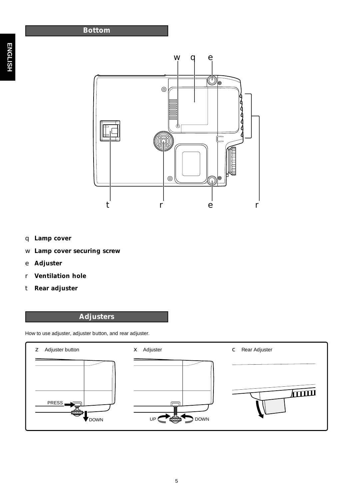

- q *Lamp cover*
- w *Lamp cover securing screw*
- e *Adjuster*
- r *Ventilation hole*
- t *Rear adjuster*

## *Adjusters*

How to use adjuster, adjuster button, and rear adjuster.

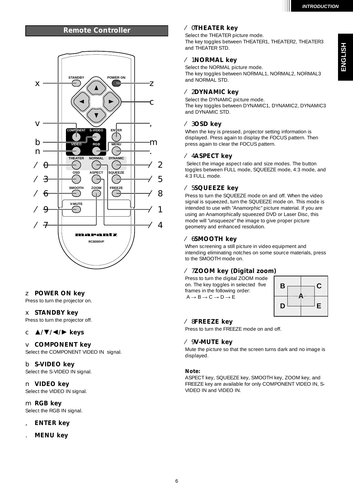### *Remote Controller* ⁄0*THEATER key*



### z *POWER ON key*

Press to turn the projector on.

### x *STANDBY key*

Press to turn the projector off.

### c -*/// keys*

### v *COMPONENT key*

Select the COMPONENT VIDEO IN signal.

b *S-VIDEO key* Select the S-VIDEO IN signal.

### n *VIDEO key*

Select the VIDEO IN signal.

m *RGB key* Select the RGB IN signal.

- , *ENTER key*
- . *MENU key*

Select the THEATER picture mode. The key toggles between THEATER1, THEATER2, THEATER3 and THEATER STD.

### ⁄1 *NORMAL key*

Select the NORMAL picture mode. The key toggles between NORMAL1, NORMAL2, NORMAL3 and NORMAL STD.

### ⁄2*DYNAMIC key*

Select the DYNAMIC picture mode. The key toggles between DYNAMIC1, DYNAMIC2, DYNAMIC3 and DYNAMIC STD.

### ⁄3*OSD key*

When the key is pressed, projector setting information is displayed. Press again to display the FOCUS pattern. Then press again to clear the FOCUS pattern.

### ⁄4*ASPECT key*

Select the image aspect ratio and size modes. The button toggles between FULL mode, SQUEEZE mode, 4:3 mode, and 4:3 FULL mode.

### ⁄5*SQUEEZE key*

Press to turn the SQUEEZE mode on and off. When the video signal is squeezed, turn the SQUEEZE mode on. This mode is intended to use with "Anamorphic" picture material. If you are using an Anamorphically squeezed DVD or Laser Disc, this mode will "unsqueeze" the image to give proper picture geometry and enhanced resolution.

### ⁄6*SMOOTH key*

When screening a still picture in video equipment and intending eliminating notches on some source materials, press to the SMOOTH mode on.

### ⁄7*ZOOM key (Digital zoom)*

Press to turn the digital ZOOM mode on. The key toggles in selected five frames in the following order:  $A \rightarrow B \rightarrow C \rightarrow D \rightarrow E$ 



### ⁄8*FREEZE key*

Press to turn the FREEZE mode on and off.

### ⁄9*V-MUTE key*

Mute the picture so that the screen turns dark and no image is displayed.

### *Note:*

ASPECT key, SQUEEZE key, SMOOTH key, ZOOM key, and FREEZE key are available for only COMPONENT VIDEO IN, S-VIDEO IN and VIDEO IN.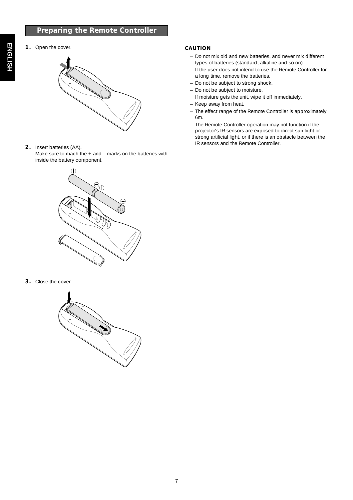### *Preparing the Remote Controller*

## *1.* Open the cover.



### *2.* Insert batteries (AA).

Make sure to mach the + and – marks on the batteries with inside the battery component.

# Œ

*3.* Close the cover.



### *CAUTION*

- Do not mix old and new batteries, and never mix different types of batteries (standard, alkaline and so on).
- If the user does not intend to use the Remote Controller for a long time, remove the batteries.
- Do not be subject to strong shock.
- Do not be subject to moisture.
- If moisture gets the unit, wipe it off immediately. – Keep away from heat.
- The effect range of the Remote Controller is approximately 6m.
- The Remote Controller operation may not function if the projector's IR sensors are exposed to direct sun light or strong artificial light, or if there is an obstacle between the IR sensors and the Remote Controller.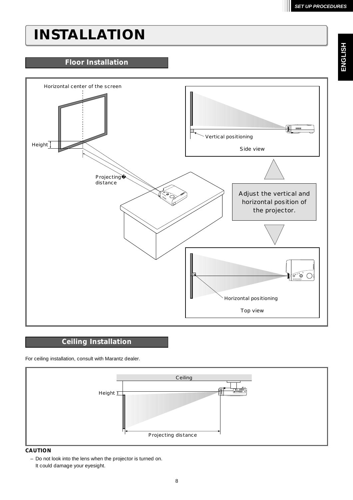## *INSTALLATION*

### *Floor Installation*



### *Ceiling Installation*

For ceiling installation, consult with Marantz dealer.



### *CAUTION*

– Do not look into the lens when the projector is turned on. It could damage your eyesight.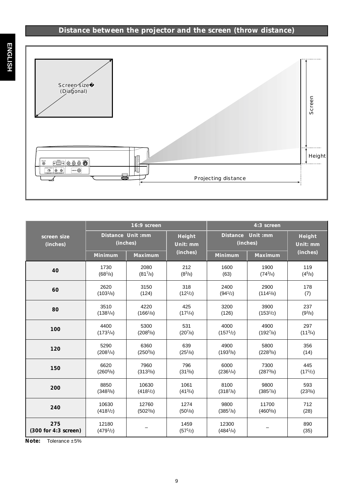## *Distance between the projector and the screen (throw distance)*



|                             | 16:9 screen                    |                               | 4:3 screen                   |                       |                       |                           |
|-----------------------------|--------------------------------|-------------------------------|------------------------------|-----------------------|-----------------------|---------------------------|
| screen size<br>(inches)     |                                | Distance Unit :mm<br>(inches) | <b>Height</b><br>Unit: mm    | <b>Distance</b>       | Unit :mm<br>(inches)  | <b>Height</b><br>Unit: mm |
|                             | <b>Minimum</b>                 | <b>Maximum</b>                | (inches)                     | <b>Minimum</b>        | <b>Maximum</b>        | (inches)                  |
| 40                          | 1730                           | 2080                          | 212                          | 1600                  | 1900                  | 119                       |
|                             | (68 <sup>1</sup> /8)           | (817/8)                       | $(8^3/s)$                    | (63)                  | (743/4)               | (4 <sup>5</sup> /8)       |
| 60                          | 2620                           | 3150                          | 318                          | 2400                  | 2900                  | 178                       |
|                             | (103 <sup>1</sup> /8)          | (124)                         | $(12^{1/2})$                 | (94 <sup>1</sup> /2)  | (114 <sup>1</sup> /8) | (7)                       |
| 80                          | 3510                           | 4220                          | 425                          | 3200                  | 3900                  | 237                       |
|                             | (138 <sup>1</sup> /4)          | $(166^{1}/8)$                 | (17 <sup>1</sup> /4)         | (126)                 | $(153^{1/2})$         | (9 <sup>3</sup> /8)       |
| 100                         | 4400                           | 5300                          | 531                          | 4000                  | 4900                  | 297                       |
|                             | $(173^{1/4})$                  | (208 <sup>5</sup> /s)         | (20 <sup>7</sup> /8)         | (157 <sup>1</sup> /2) | (1927/8)              | (11 <sup>3</sup> /4)      |
| 120                         | 5290                           | 6360                          | 639                          | 4900                  | 5800                  | 356                       |
|                             | (208 <sup>1</sup> /4)          | (250 <sup>3</sup> /8)         | (25 <sup>1</sup> /8)         | $(193^{3}/8)$         | (228 <sup>3</sup> /8) | (14)                      |
| 150                         | 6620                           | 7960                          | 796                          | 6000                  | 7300                  | 445                       |
|                             | (260 <sup>5</sup> /8)          | $(313^{3}/8)$                 | (31 <sup>3</sup> /8)         | (236 <sup>1</sup> /4) | (287 <sup>3</sup> /8) | $(17^{1/2})$              |
| 200                         | 8850                           | 10630                         | 1061                         | 8100                  | 9800                  | 593                       |
|                             | (348 <sup>3</sup> /8)          | (418 <sup>1</sup> /2)         | (413/4)                      | (3187/s)              | (3857/s)              | (23 <sup>3</sup> /8)      |
| 240                         | 10630                          | 12760                         | 1274                         | 9800                  | 11700                 | 712                       |
|                             | (418 <sup>1</sup> /2)          | $(502^3/s)$                   | (50 <sup>1</sup> /8)         | $(385^{7}/)$          | (460 <sup>5</sup> /8) | (28)                      |
| 275<br>(300 for 4:3 screen) | 12180<br>(479 <sup>1</sup> /2) |                               | 1459<br>(57 <sup>1</sup> /2) | 12300<br>$(484^{1}/)$ | $\qquad \qquad -$     | 890<br>(35)               |

*Note:* Tolerance ±5%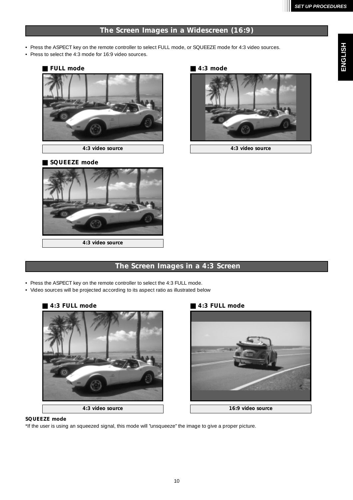### *The Screen Images in a Widescreen (16:9)*

- Press the ASPECT key on the remote controller to select FULL mode, or SQUEEZE mode for 4:3 video sources.
- Press to select the 4:3 mode for 16:9 video sources.



### - *SQUEEZE mode*



# ■ 4:3 mode



*4:3 video source 4:3 video source*

### *The Screen Images in a 4:3 Screen*

- Press the ASPECT key on the remote controller to select the 4:3 FULL mode.
- Video sources will be projected according to its aspect ratio as illustrated below

### -**4:3 FULL mode**



### *4:3 FULL mode*



### *SQUEEZE mode*

\*If the user is using an squeezed signal, this mode will "unsqueeze" the image to give a proper picture.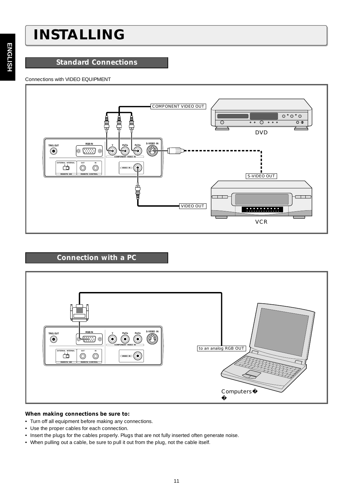## *INSTALLING*

### *Standard Connections*

### Connections with VIDEO EQUIPMENT



### *Connection with a PC*



### *When making connections be sure to:*

- Turn off all equipment before making any connections.
- Use the proper cables for each connection.
- Insert the plugs for the cables properly. Plugs that are not fully inserted often generate noise.
- When pulling out a cable, be sure to pull it out from the plug, not the cable itself.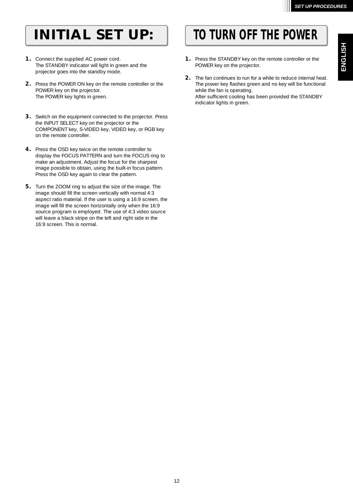- *1.* Connect the supplied AC power cord. The STANDBY indicator will light in green and the projector goes into the standby mode.
- *2.* Press the POWER ON key on the remote controller or the POWER key on the projector. The POWER key lights in green.
- *3.* Switch on the equipment connected to the projector. Press the INPUT SELECT key on the projector or the COMPONENT key, S-VIDEO key, VIDEO key, or RGB key on the remote controller.
- *4.* Press the OSD key twice on the remote controller to display the FOCUS PATTERN and turn the FOCUS ring to make an adjustment. Adjust the focus for the sharpest image possible to obtain, using the built-in focus pattern. Press the OSD key again to clear the pattern.
- *5.* Turn the ZOOM ring to adjust the size of the image. The image should fill the screen vertically with normal 4:3 aspect ratio material. If the user is using a 16:9 screen, the image will fill the screen horizontally only when the 16:9 source program is employed. The use of 4:3 video source will leave a black stripe on the left and right side in the 16:9 screen. This is normal.

## *INITIAL SET UP: TO TURN OFF THE POWER*

- *1.* Press the STANDBY key on the remote controller or the POWER key on the projector.
- *2.* The fan continues to run for a while to reduce internal heat. The power key flashes green and no key will be functional while the fan is operating. After sufficient cooling has been provided the STANDBY indicator lights in green.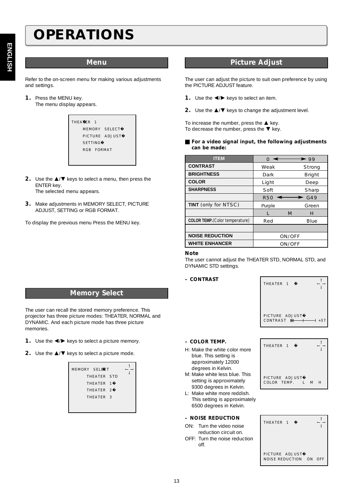## *OPERATIONS*

Refer to the on-screen menu for making various adjustments and settings.

*1.* Press the MENU key. The menu display appears.

| THEATER <sub>1</sub> |                |
|----------------------|----------------|
|                      | MEMORY SELECT  |
|                      | PICTURE ADJUST |
| <b>SETTING</b>       |                |
| RGB FORMAT           |                |
|                      |                |

- **2.** Use the **△/▼** keys to select a menu, then press the ENTER key. The selected menu appears.
- *3.* Make adjustments in MEMORY SELECT, PICTURE ADJUST, SETTING or RGB FORMAT.

To display the previous menu Press the MENU key.

### *Menu Picture Adjust*

The user can adjust the picture to suit own preference by using the PICTURE ADJUST feature.

- 1. Use the  $\blacktriangleleft/\blacktriangleright$  keys to select an item.
- **2.** Use the **△/▼** keys to change the adjustment level.

To increase the number, press the  $\triangle$  key. To decrease the number, press the  $\blacktriangledown$  key.

**For a video signal input, the following adjustments** *can be made:*

| <b>ITEM</b>                            |            |        | $\blacktriangleright$ 99 |
|----------------------------------------|------------|--------|--------------------------|
| <b>CONTRAST</b>                        | Weak       |        | S trong                  |
| <b>BRIGHTNESS</b>                      | Dark       |        | Bright                   |
| <b>COLOR</b>                           | Light      |        | Deep                     |
| <b>SHARPNESS</b>                       | Soft       |        | Sharp                    |
|                                        | <b>R50</b> |        | G49                      |
| <b>TINT</b> (only for NTSC)            | Purple     |        | Green                    |
|                                        | L          | M      | н                        |
| <b>COLOR TEMP.</b> (Color temperature) | Red        |        | <b>B</b> lue             |
|                                        |            |        |                          |
| <b>NOISE REDUCTION</b>                 |            | ON/OFF |                          |
| <b>WHITE ENHANCER</b>                  |            | ON/OFF |                          |

### *Note*

The user cannot adjust the THEATER STD, NORMAL STD, and DYNAMIC STD settings.

### *– CONTRAST*



### *Memory Select*

The user can recall the stored memory preference. This projector has three picture modes: THEATER, NORMAL and DYNAMIC. And each picture mode has three picture memories.

- **1.** Use the  $\blacktriangleleft$  / $\blacktriangleright$  keys to select a picture memory.
- **2.** Use the **△/▼** keys to select a picture mode.

| MEMORY SELECT        |  |  |
|----------------------|--|--|
| THEATER STD          |  |  |
| THEATER 1            |  |  |
| THEATER <sub>2</sub> |  |  |
| THEATER <sub>3</sub> |  |  |
|                      |  |  |
|                      |  |  |

### *– COLOR TEMP.*

- H: Make the white color more blue. This setting is approximately 12000 degrees in Kelvin.
- M: Make white less blue. This setting is approximately 9300 degrees in Kelvin.
- L: Make white more reddish. This setting is approximately 6500 degrees in Kelvin.

### *– NOISE REDUCTION*

- ON: Turn the video noise reduction circuit on.
- OFF: Turn the noise reduction off.



| THEATER 1                                |    |     |
|------------------------------------------|----|-----|
| PICTURE ADJUST<br><b>NOISE REDUCTION</b> | ON | OFF |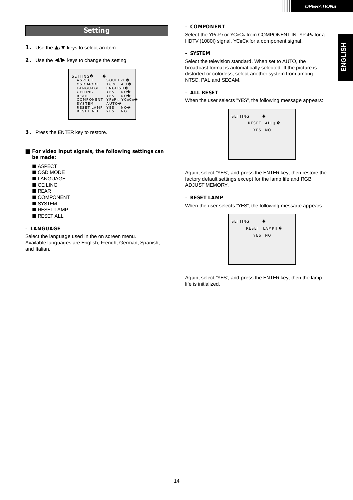### *Setting*

- 1. Use the  $\triangle$ / $\blacktriangledown$  keys to select an item.
- 2. Use the  $\blacktriangleleft / \blacktriangleright$  keys to change the setting

| <b>SETTING</b>    |                              |
|-------------------|------------------------------|
| <b>ASPECT</b>     | SOUFFZE                      |
| OSD MODE          | $16:9$ 4:3                   |
| LANGUAGE          | <b>ENGLISH</b>               |
| CEILING           | <b>YES</b><br>NΟ             |
| <b>REAR</b>       | <b>YES</b><br>N <sub>O</sub> |
| COMPONENT         | <b>YCRCR</b><br>YPRPR        |
| <b>SYSTEM</b>     | AUTO                         |
| <b>RESET LAMP</b> | <b>YES</b><br>NΟ             |
| <b>RESET ALL</b>  | <b>YES</b><br>N <sub>O</sub> |
|                   |                              |
|                   |                              |

*3.* Press the ENTER key to restore.

### **For video input signals, the following settings can** *be made:*

- ASPECT
- OSD MODE
- **LANGUAGE**
- **CEILING**
- REAR
- COMPONENT
- SYSTEM
- RESET LAMP
- RESET ALL

### *– LANGUAGE*

Select the language used in the on screen menu. Available languages are English, French, German, Spanish, and Italian.

### *– COMPONENT*

Select the YPBPR or YCBCR from COMPONENT IN. YPBPR for a HDTV (1080I) signal, YCBCR for a component signal.

### *– SYSTEM*

Select the television standard. When set to AUTO, the broadcast format is automatically selected. If the picture is distorted or colorless, select another system from among NTSC, PAL and SECAM.

### *– ALL RESET*

When the user selects "YES", the following message appears:

| SETTING |           |  |
|---------|-----------|--|
|         | RESET ALL |  |
|         | YES NO    |  |
|         |           |  |
|         |           |  |
|         |           |  |
|         |           |  |

Again, select "YES", and press the ENTER key, then restore the factory default settings except for the lamp life and RGB ADJUST MEMORY.

### *– RESET LAMP*

When the user selects "YES", the following message appears:



Again, select "YES", and press the ENTER key, then the lamp life is initialized.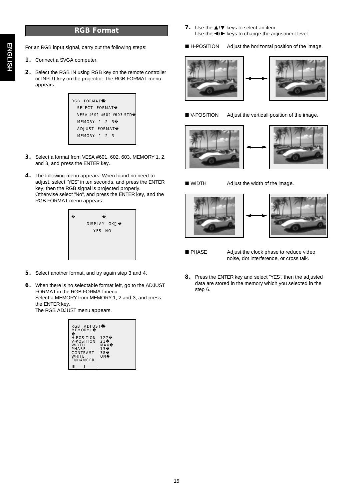### *RGB Format*

For an RGB input signal, carry out the following steps:

- *1.* Connect a SVGA computer.
- *2.* Select the RGB IN using RGB key on the remote controller or INPUT key on the projector. The RGB FORMAT menu appears.

| RGB FORMAT              |  |
|-------------------------|--|
| SELECT FORMAT           |  |
| VESA #601 #602 #603 STD |  |
| MEMORY 1 2 3            |  |
| ADJUST FORMAT           |  |
| MEMORY 1 2 3            |  |
|                         |  |

- *3.* Select a format from VESA #601, 602, 603, MEMORY 1, 2, and 3, and press the ENTER key.
- *4.* The following menu appears. When found no need to adjust, select "YES" in ten seconds, and press the ENTER key, then the RGB signal is projected properly. Otherwise select "No", and press the ENTER key, and the RGB FORMAT menu appears.



- *5.* Select another format, and try again step 3 and 4.
- *6.* When there is no selectable format left, go to the ADJUST FORMAT in the RGB FORMAT menu. Select a MEMORY from MEMORY 1, 2 and 3, and press the ENTER key. The RGB ADJUST menu appears.

| RGB ADJUST<br><b>MEMORY1</b>                                                                            |                                     |
|---------------------------------------------------------------------------------------------------------|-------------------------------------|
| <b>H-POSITION</b><br><b>V-POSITION</b><br>WIDTH<br>PHASE<br>CONTRAST<br><b>WHITE</b><br><b>ENHANCER</b> | 127<br>21<br>MA X<br>13<br>38<br>ΩN |

- 7. Use the  $\triangle$ / $\blacktriangledown$  keys to select an item. Use the  $\blacktriangleleft / \blacktriangleright$  keys to change the adjustment level.
- H-POSITION Adjust the horizontal position of the image.





- 
- V-POSITION Adjust the verticall position of the image.





WIDTH Adjust the width of the image.





■ PHASE Adjust the clock phase to reduce video noise, dot interference, or cross talk.

*8.* Press the ENTER key and select "YES", then the adjusted data are stored in the memory which you selected in the step 6.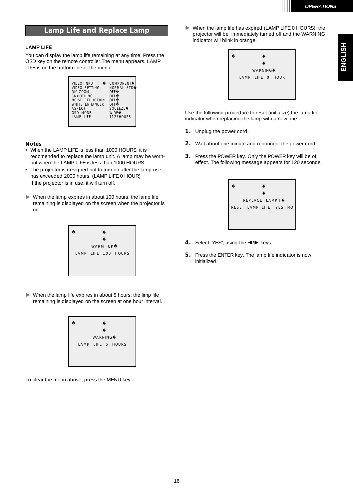### *Lamp Life and Replace Lamp*

### **LAMP LIFE**

You can display the lamp life remaining at any time. Press the OSD key on the remote controller.The menu appears. LAMP LIFE is on the bottom line of the menu.

| <b>VIDEO INPUT</b>     | :COMPONENT  |
|------------------------|-------------|
| VIDEO SETTING          | :NORMAL STD |
| <b>DIG-ZOOM</b>        | : $0$ FF    |
| <b>SMOOTHING</b>       | : $0$ FF    |
| <b>NOISE REDUCTION</b> | : $0$ FF    |
| WHITE ENHANCER         | : $0$ FF    |
| <b>ASPECT</b>          | $:$ SOUEEZE |
| OSD MODE               | :WIDE       |
| LAMP LIFE              | :1125HOURS  |
|                        |             |

### *Notes*

- When the LAMP LIFE is less than 1000 HOURS, it is recomended to replace the lamp unit. A lamp may be wornout when the LAMP LIFE is less than 1000 HOURS.
- The projector is designed not to turn on after the lamp use has exceeded 2000 hours. (LAMP LIFE 0 HOUR) If the projector is in use, it will turn off.
- When the lamp expires in about 100 hours, the lamp life remaining is displayed on the screen when the projector is on.

|  | WARM UP |                     |
|--|---------|---------------------|
|  |         | LAMP LIFE 100 HOURS |
|  |         |                     |
|  |         |                     |

 $\blacktriangleright$  When the lamp life expires in about 5 hours, the limp life remaining is displayed on the screen at one hour interval.



To clear the menu above, press the MENU key.

 When the lamp life has expired (LAMP LIFE 0 HOURS), the projector will be immediately turned off and the WARNING indicator will blink in orange.



Use the following procedure to reset (initialize) the lamp life indicator when replacing the lamp with a new one:

- *1.* Unplug the power cord.
- *2.* Wait about one minute and reconnect the power cord.
- *3.* Press the POWER key. Only the POWER key will be of effect. The following message appears for 120 seconds.



- 4. Select "YES", using the  $\blacktriangleleft/\blacktriangleright$  keys.
- **5.** Press the ENTER key. The lamp life indicator is now initialized.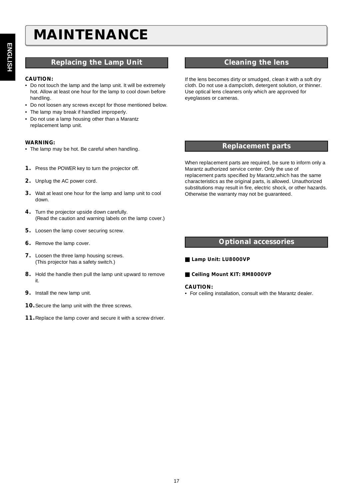## *MAINTENANCE*

### *Replacing the Lamp Unit Cleaning the lens*

### *CAUTION:*

- Do not touch the lamp and the lamp unit. It will be extremely hot. Allow at least one hour for the lamp to cool down before handling.
- Do not loosen any screws except for those mentioned below.
- The lamp may break if handled improperly.
- Do not use a lamp housing other than a Marantz replacement lamp unit.

### *WARNING:*

- The lamp may be hot. Be careful when handling.
- *1.* Press the POWER key to turn the projector off.
- *2.* Unplug the AC power cord.
- *3.* Wait at least one hour for the lamp and lamp unit to cool down.
- *4.* Turn the projector upside down carefully. (Read the caution and warning labels on the lamp cover.)
- **5.** Loosen the lamp cover securing screw.
- *6.* Remove the lamp cover.
- **7.** Loosen the three lamp housing screws. (This projector has a safety switch.)
- *8.* Hold the handle then pull the lamp unit upward to remove it.
- **9.** Install the new lamp unit.
- *10.*Secure the lamp unit with the three screws.
- *11.*Replace the lamp cover and secure it with a screw driver.

If the lens becomes dirty or smudged, clean it with a soft dry cloth. Do not use a dampcloth, detergent solution, or thinner. Use optical lens cleaners only which are approved for eyeglasses or cameras.

### *Replacement parts*

When replacement parts are required, be sure to inform only a Marantz authorized service center. Only the use of replacement parts specified by Marantz,which has the same characteristics as the original parts, is allowed. Unauthorized substitutions may result in fire, electric shock, or other hazards. Otherwise the warranty may not be guaranteed.

### *Optional accessories*

- *Lamp Unit: LU8000VP*
- Ceiling Mount KIT: RM8000VP

### *CAUTION:*

• For ceiling installation, consult with the Marantz dealer.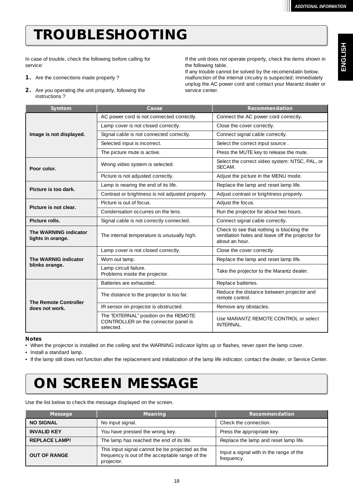**ENGLISH**

**ENGLISH** 

# *TROUBLESHOOTING*

In case of trouble, check the following before calling for service:

- *1.* Are the connections made properly ?
- *2.* Are you operating the unit properly, following the instructions ?

If the unit does not operate properly, check the items shown in the following table.

If any trouble cannot be solved by the recomendatin below, malfunction of the internal circuitry is suspected; immediately unplug the AC power cord and contact your Marantz dealer or service center.

| Symtom                                                                                    | Cause                                                                                      | <b>Recommendation</b>                                                                                            |  |
|-------------------------------------------------------------------------------------------|--------------------------------------------------------------------------------------------|------------------------------------------------------------------------------------------------------------------|--|
|                                                                                           | AC power cord is not connected correctly.                                                  | Connect the AC power cord correctly.                                                                             |  |
|                                                                                           | Lamp cover is not closed correctly.                                                        | Close the cover correctly.                                                                                       |  |
| Image is not displayed.                                                                   | Signal cable is not connected correctly.                                                   | Connect signal cable correctly.                                                                                  |  |
|                                                                                           | Selected input is incorrect.                                                               | Select the correct input source.                                                                                 |  |
|                                                                                           | The picture mute is active.                                                                | Press the MUTE key to release the mute.                                                                          |  |
| Poor color.                                                                               | Wrong video system is selected.                                                            | Select the correct video system: NTSC, PAL, or<br>SECAM.                                                         |  |
|                                                                                           | Picture is not adjusted correctly.                                                         | Adjust the picture in the MENU mode.                                                                             |  |
| Picture is too dark.                                                                      | Lamp is nearing the end of its life.                                                       | Replace the lamp and reset lamp life.                                                                            |  |
|                                                                                           | Contrast or brightness is not adjusted properly.                                           | Adjust contrast or brightness properly.                                                                          |  |
| Picture is not clear.                                                                     | Picture is out of focus.                                                                   | Adjust the focus.                                                                                                |  |
|                                                                                           | Condensation occurres on the lens.                                                         | Run the projector for about two hours.                                                                           |  |
| Picture rolls.                                                                            | Signal cable is not correctly connected.                                                   | Connect signal cable correctly.                                                                                  |  |
| The WARNING indicator<br>The internal temperature is unusually high.<br>lights in orange. |                                                                                            | Check to see that nothing is blocking the<br>ventilation holes and leave off the projector for<br>about an hour. |  |
|                                                                                           | Lamp cover is not closed correctly.                                                        | Close the cover correctly.                                                                                       |  |
| <b>The WARNIG indicator</b>                                                               | Worn out lamp.                                                                             | Replace the lamp and reset lamp life.                                                                            |  |
| blinks orange.                                                                            | Lamp circuit failure.<br>Problems inside the projector.                                    | Take the projector to the Marantz dealer.                                                                        |  |
|                                                                                           | Batteries are exhausted.                                                                   | Replace batteries.                                                                                               |  |
| <b>The Remote Controller</b>                                                              | The distance to the projector is too far.                                                  | Reduce the distance between projector and<br>remote control.                                                     |  |
| does not work.                                                                            | IR sensor on projector is obstructed.                                                      | Remove any obstacles.                                                                                            |  |
|                                                                                           | The "EXTERNAL" position on the REMOTE<br>CONTROLLER on the connector panel is<br>selected. | Use MARANTZ REMOTE CONTROL or select<br>INTERNAL.                                                                |  |

### *Notes*

• When the projector is installed on the ceiling and the WARNING indicator lights up or flashes, never open the lamp cover.

• Install a standard lamp.

• If the lamp still does not function after the replacement and initialization of the lamp life indicator, contact the dealer, or Service Center.

## *ON SCREEN MESSAGE*

Use the list below to check the message displayed on the screen.

| <b>Message</b>       | <b>Meaning</b>                                                                                                   | <b>Recommendation</b>                                 |  |
|----------------------|------------------------------------------------------------------------------------------------------------------|-------------------------------------------------------|--|
| <b>NO SIGNAL</b>     | No input signal.                                                                                                 | Check the connection.                                 |  |
| <b>INVALID KEY</b>   | You have pressed the wrong key.                                                                                  | Press the appropriate key.                            |  |
| <b>REPLACE LAMP!</b> | The lamp has reached the end of its life.                                                                        | Replace the lamp and reset lamp life.                 |  |
| <b>OUT OF RANGE</b>  | This input signal cannot be be projected as the<br>frequency is out of the acceptable range of the<br>projector. | Input a signal with in the range of the<br>frequency. |  |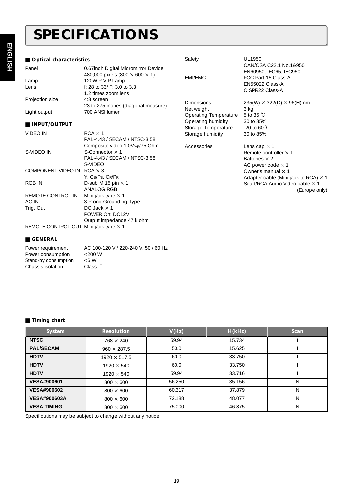## *SPECIFICATIONS*

### $\blacksquare$  Optical characteristics

| Panel                                 | 0.67inch Digital Micromirror Device                   |                       | CAN/CSA C22.1 No.1&950<br>EN60950, IEC65, IEC950                               |
|---------------------------------------|-------------------------------------------------------|-----------------------|--------------------------------------------------------------------------------|
|                                       | 480,000 pixels (800 $\times$ 600 $\times$ 1)          | EMI/EMC               | FCC Part-15 Class-A                                                            |
| Lamp                                  | 120W P-VIP Lamp                                       |                       | EN55022 Class-A                                                                |
| Lens                                  | f: 28 to 33/ F: 3.0 to 3.3                            |                       | CISPR22 Class-A                                                                |
|                                       | 1.2 times zoom lens                                   |                       |                                                                                |
| Projection size                       | 4:3 screen                                            | <b>Dimensions</b>     | $235(W) \times 322(D) \times 96(H)$ mm                                         |
|                                       | 23 to 275 inches (diagonal measure)<br>700 ANSI lumen | Net weight            | 3 kg                                                                           |
| Light output                          |                                                       | Operating Temperature | 5 to 35 $\degree$ C                                                            |
| INPUT/OUTPUT                          |                                                       | Operating humidity    | 30 to 85%                                                                      |
|                                       |                                                       | Storage Temperature   | $-20$ to 60 °C                                                                 |
| VIDEO IN                              | $RCA \times 1$                                        | Storage humidity      | 30 to 85%                                                                      |
|                                       | PAL-4.43 / SECAM / NTSC-3.58                          |                       |                                                                                |
|                                       | Composite video 1.0V <sub>p-p</sub> /75 Ohm           | Accessories           | Lens cap $\times$ 1                                                            |
| S-VIDEO IN                            | S-Connector $\times$ 1                                |                       | Remote controller × 1                                                          |
|                                       | PAL-4.43 / SECAM / NTSC-3.58                          |                       | Batteries $\times$ 2                                                           |
| COMPONENT VIDEO IN                    | S-VIDEO<br>$RCA \times 3$                             |                       | AC power code $\times$ 1                                                       |
|                                       | Y, CB/PB, CR/PR                                       |                       | Owner's manual $\times$ 1                                                      |
| <b>RGB IN</b>                         | D-sub M 15 pin $\times$ 1                             |                       | Adapter cable (Mini jack to RCA) $\times$ 1<br>Scart/RCA Audio Video cable x 1 |
|                                       | ANALOG RGB                                            |                       | (Europe only)                                                                  |
| REMOTE CONTROL IN                     | Mini jack type $\times$ 1                             |                       |                                                                                |
| AC IN                                 | 3 Prong Grounding Type                                |                       |                                                                                |
| Trig. Out                             | DC Jack $\times$ 1                                    |                       |                                                                                |
|                                       | POWER On: DC12V                                       |                       |                                                                                |
|                                       | Output impedance 47 k ohm                             |                       |                                                                                |
| REMOTE CONTROL OUT Mini jack type x 1 |                                                       |                       |                                                                                |

Safety UL1950

### **E** GENERAL

| Power requirement    | AC 100-120 V / 220-240 V, 50 / 60 Hz |
|----------------------|--------------------------------------|
| Power consumption    | $<$ 200 W                            |
| Stand-by consumption | $<6$ W                               |
| Chassis isolation    | Class-T                              |

| $\blacksquare$ Timing chart |                     |        |        |             |
|-----------------------------|---------------------|--------|--------|-------------|
| <b>System</b>               | <b>Resolution</b>   | V(Hz)  | H(KHz) | <b>Scan</b> |
| <b>NTSC</b>                 | $768 \times 240$    | 59.94  | 15.734 |             |
| <b>PAL/SECAM</b>            | $960 \times 287.5$  | 50.0   | 15.625 |             |
| <b>HDTV</b>                 | $1920 \times 517.5$ | 60.0   | 33.750 |             |
| <b>HDTV</b>                 | $1920 \times 540$   | 60.0   | 33.750 |             |
| <b>HDTV</b>                 | $1920 \times 540$   | 59.94  | 33.716 |             |
| <b>VESA#900601</b>          | $800 \times 600$    | 56.250 | 35.156 | N           |
| <b>VESA#900602</b>          | $800 \times 600$    | 60.317 | 37.879 | N           |
| <b>VESA#900603A</b>         | $800 \times 600$    | 72.188 | 48.077 | N           |
| <b>VESA TIMING</b>          | $800 \times 600$    | 75,000 | 46.875 | N           |

Specificutions may be subject to change without any notice.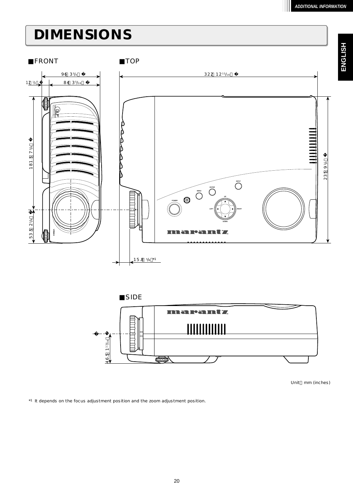**ENGLISH**

## *DIMENSIONS*





Unit mm (inches)

\*1 It depends on the focus adjustment position and the zoom adjustment position.